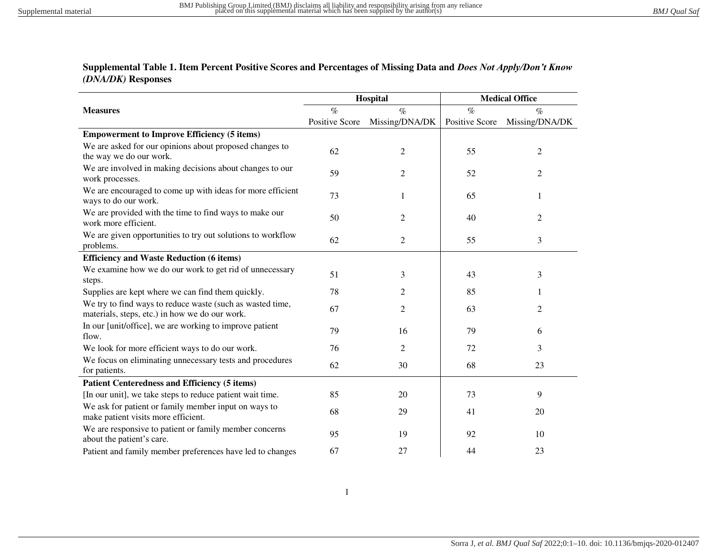## **Supplemental Table 1. Item Percent Positive Scores and Percentages of Missing Data and** *Does Not Apply/Don't Know (DNA/DK)* **Responses**

|                                                                                                             |                       | Hospital       | <b>Medical Office</b> |                |  |
|-------------------------------------------------------------------------------------------------------------|-----------------------|----------------|-----------------------|----------------|--|
| <b>Measures</b>                                                                                             | $\%$                  | $\%$           | $\%$                  | $\%$           |  |
|                                                                                                             | <b>Positive Score</b> | Missing/DNA/DK | <b>Positive Score</b> | Missing/DNA/DK |  |
| <b>Empowerment to Improve Efficiency (5 items)</b>                                                          |                       |                |                       |                |  |
| We are asked for our opinions about proposed changes to                                                     | 62                    | $\overline{c}$ | 55                    | $\mathfrak{2}$ |  |
| the way we do our work.                                                                                     |                       |                |                       |                |  |
| We are involved in making decisions about changes to our<br>work processes.                                 | 59                    | 2              | 52                    | 2              |  |
| We are encouraged to come up with ideas for more efficient<br>ways to do our work.                          | 73                    | 1              | 65                    | 1              |  |
| We are provided with the time to find ways to make our<br>work more efficient.                              | 50                    | $\overline{2}$ | 40                    | $\overline{2}$ |  |
| We are given opportunities to try out solutions to workflow<br>problems.                                    | 62                    | $\overline{c}$ | 55                    | 3              |  |
| <b>Efficiency and Waste Reduction (6 items)</b>                                                             |                       |                |                       |                |  |
| We examine how we do our work to get rid of unnecessary                                                     | 51                    | 3              | 43                    | 3              |  |
| steps.                                                                                                      |                       |                |                       |                |  |
| Supplies are kept where we can find them quickly.                                                           | 78                    | 2              | 85                    |                |  |
| We try to find ways to reduce waste (such as wasted time,<br>materials, steps, etc.) in how we do our work. | 67                    | $\overline{2}$ | 63                    | $\overline{2}$ |  |
| In our [unit/office], we are working to improve patient<br>flow.                                            | 79                    | 16             | 79                    | 6              |  |
| We look for more efficient ways to do our work.                                                             | 76                    | $\overline{c}$ | 72                    | 3              |  |
| We focus on eliminating unnecessary tests and procedures<br>for patients.                                   | 62                    | 30             | 68                    | 23             |  |
| <b>Patient Centeredness and Efficiency (5 items)</b>                                                        |                       |                |                       |                |  |
| [In our unit], we take steps to reduce patient wait time.                                                   | 85                    | 20             | 73                    | 9              |  |
| We ask for patient or family member input on ways to<br>make patient visits more efficient.                 | 68                    | 29             | 41                    | 20             |  |
| We are responsive to patient or family member concerns<br>about the patient's care.                         | 95                    | 19             | 92                    | 10             |  |
| Patient and family member preferences have led to changes                                                   | 67                    | 27             | 44                    | 23             |  |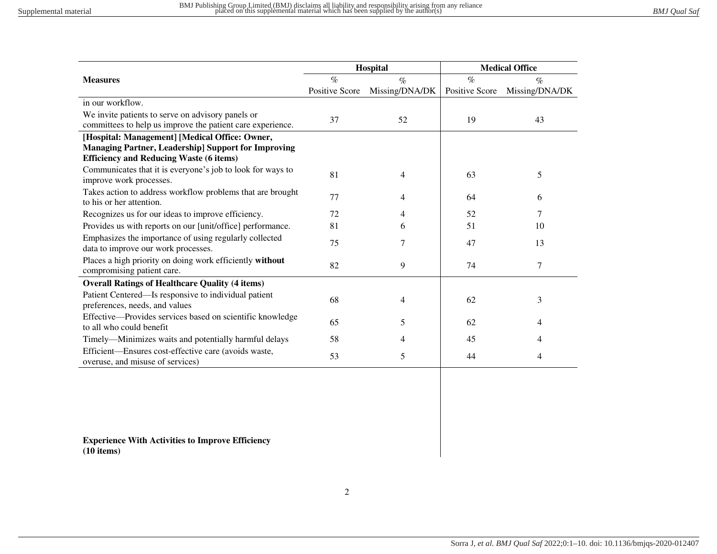| Hospital                                                                                 |                |                | <b>Medical Office</b> |                |  |  |
|------------------------------------------------------------------------------------------|----------------|----------------|-----------------------|----------------|--|--|
| <b>Measures</b>                                                                          | $\%$           | $\%$           | $\%$                  | $\%$           |  |  |
|                                                                                          | Positive Score | Missing/DNA/DK | <b>Positive Score</b> | Missing/DNA/DK |  |  |
| in our workflow.                                                                         |                |                |                       |                |  |  |
| We invite patients to serve on advisory panels or                                        | 37             | 52             | 19                    | 43             |  |  |
| committees to help us improve the patient care experience.                               |                |                |                       |                |  |  |
| [Hospital: Management] [Medical Office: Owner,                                           |                |                |                       |                |  |  |
| <b>Managing Partner, Leadership] Support for Improving</b>                               |                |                |                       |                |  |  |
| <b>Efficiency and Reducing Waste (6 items)</b>                                           |                |                |                       |                |  |  |
| Communicates that it is everyone's job to look for ways to<br>improve work processes.    | 81             | 4              | 63                    | 5              |  |  |
| Takes action to address workflow problems that are brought<br>to his or her attention.   | 77             | 4              | 64                    | 6              |  |  |
| Recognizes us for our ideas to improve efficiency.                                       | 72             | 4              | 52                    | 7              |  |  |
| Provides us with reports on our [unit/office] performance.                               | 81             | 6              | 51                    | 10             |  |  |
| Emphasizes the importance of using regularly collected                                   | 75             |                |                       |                |  |  |
| data to improve our work processes.                                                      |                | 7              | 47                    | 13             |  |  |
| Places a high priority on doing work efficiently without<br>compromising patient care.   | 82             | 9              | 74                    | $\tau$         |  |  |
| <b>Overall Ratings of Healthcare Quality (4 items)</b>                                   |                |                |                       |                |  |  |
| Patient Centered—Is responsive to individual patient                                     |                |                |                       |                |  |  |
| preferences, needs, and values                                                           | 68             | 4              | 62                    | 3              |  |  |
| Effective-Provides services based on scientific knowledge                                |                |                |                       |                |  |  |
| to all who could benefit                                                                 | 65             | 5              | 62                    | 4              |  |  |
| Timely—Minimizes waits and potentially harmful delays                                    | 58             | 4              | 45                    | 4              |  |  |
| Efficient-Ensures cost-effective care (avoids waste,<br>overuse, and misuse of services) | 53             | 5              | 44                    | 4              |  |  |

**Experience With Activities to Improve Efficiency (10 items)**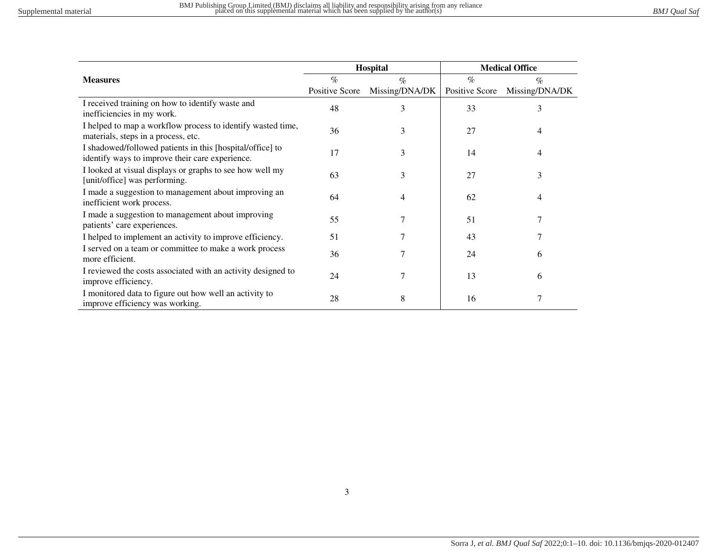|                                                                                                              |                | Hospital       | <b>Medical Office</b> |                |  |
|--------------------------------------------------------------------------------------------------------------|----------------|----------------|-----------------------|----------------|--|
| <b>Measures</b>                                                                                              | $\%$           | $\%$           | $\%$                  | $\%$           |  |
|                                                                                                              | Positive Score | Missing/DNA/DK | Positive Score        | Missing/DNA/DK |  |
| I received training on how to identify waste and<br>inefficiencies in my work.                               | 48             | 3              | 33                    | 3              |  |
| I helped to map a workflow process to identify wasted time,<br>materials, steps in a process, etc.           | 36             | 3              | 27                    | 4              |  |
| I shadowed/followed patients in this [hospital/office] to<br>identify ways to improve their care experience. | 17             | 3              | 14                    | 4              |  |
| I looked at visual displays or graphs to see how well my<br>[unit/office] was performing.                    | 63             | 3              | 27                    | 3              |  |
| I made a suggestion to management about improving an<br>inefficient work process.                            | 64             | 4              | 62                    | 4              |  |
| I made a suggestion to management about improving<br>patients' care experiences.                             | 55             |                | 51                    |                |  |
| I helped to implement an activity to improve efficiency.                                                     | 51             | 7              | 43                    |                |  |
| I served on a team or committee to make a work process<br>more efficient.                                    | 36             | 7              | 24                    | 6              |  |
| I reviewed the costs associated with an activity designed to<br>improve efficiency.                          | 24             | 7              | 13                    | 6              |  |
| I monitored data to figure out how well an activity to<br>improve efficiency was working.                    | 28             | 8              | 16                    | 7              |  |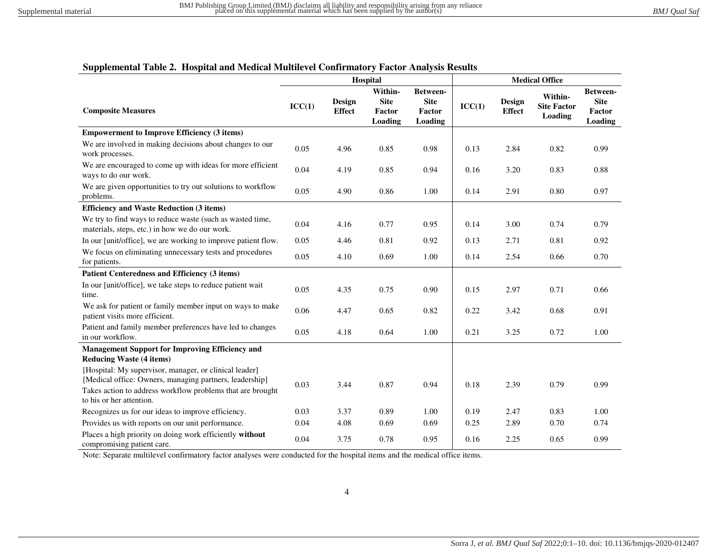## **Supplemental Table 2. Hospital and Medical Multilevel Confirmatory Factor Analysis Results**

|                                                                                                                                                                                                             | Hospital |                         |                                             | <b>Medical Office</b>                        |        |                         |                                                 |                                                     |
|-------------------------------------------------------------------------------------------------------------------------------------------------------------------------------------------------------------|----------|-------------------------|---------------------------------------------|----------------------------------------------|--------|-------------------------|-------------------------------------------------|-----------------------------------------------------|
| <b>Composite Measures</b>                                                                                                                                                                                   | ICC(1)   | Design<br><b>Effect</b> | Within-<br><b>Site</b><br>Factor<br>Loading | Between-<br><b>Site</b><br>Factor<br>Loading | ICC(1) | Design<br><b>Effect</b> | Within-<br><b>Site Factor</b><br><b>Loading</b> | Between-<br><b>Site</b><br><b>Factor</b><br>Loading |
| <b>Empowerment to Improve Efficiency (3 items)</b>                                                                                                                                                          |          |                         |                                             |                                              |        |                         |                                                 |                                                     |
| We are involved in making decisions about changes to our<br>work processes.                                                                                                                                 | 0.05     | 4.96                    | 0.85                                        | 0.98                                         | 0.13   | 2.84                    | 0.82                                            | 0.99                                                |
| We are encouraged to come up with ideas for more efficient<br>ways to do our work.                                                                                                                          | 0.04     | 4.19                    | 0.85                                        | 0.94                                         | 0.16   | 3.20                    | 0.83                                            | 0.88                                                |
| We are given opportunities to try out solutions to workflow<br>problems.                                                                                                                                    | 0.05     | 4.90                    | 0.86                                        | 1.00                                         | 0.14   | 2.91                    | 0.80                                            | 0.97                                                |
| <b>Efficiency and Waste Reduction (3 items)</b>                                                                                                                                                             |          |                         |                                             |                                              |        |                         |                                                 |                                                     |
| We try to find ways to reduce waste (such as wasted time,<br>materials, steps, etc.) in how we do our work.                                                                                                 | 0.04     | 4.16                    | 0.77                                        | 0.95                                         | 0.14   | 3.00                    | 0.74                                            | 0.79                                                |
| In our [unit/office], we are working to improve patient flow.                                                                                                                                               | 0.05     | 4.46                    | 0.81                                        | 0.92                                         | 0.13   | 2.71                    | 0.81                                            | 0.92                                                |
| We focus on eliminating unnecessary tests and procedures<br>for patients.                                                                                                                                   | 0.05     | 4.10                    | 0.69                                        | 1.00                                         | 0.14   | 2.54                    | 0.66                                            | 0.70                                                |
| Patient Centeredness and Efficiency (3 items)                                                                                                                                                               |          |                         |                                             |                                              |        |                         |                                                 |                                                     |
| In our [unit/office], we take steps to reduce patient wait<br>time.                                                                                                                                         | 0.05     | 4.35                    | 0.75                                        | 0.90                                         | 0.15   | 2.97                    | 0.71                                            | 0.66                                                |
| We ask for patient or family member input on ways to make<br>patient visits more efficient.                                                                                                                 | 0.06     | 4.47                    | 0.65                                        | 0.82                                         | 0.22   | 3.42                    | 0.68                                            | 0.91                                                |
| Patient and family member preferences have led to changes<br>in our workflow.                                                                                                                               | 0.05     | 4.18                    | 0.64                                        | 1.00                                         | 0.21   | 3.25                    | 0.72                                            | 1.00                                                |
| <b>Management Support for Improving Efficiency and</b><br><b>Reducing Waste (4 items)</b>                                                                                                                   |          |                         |                                             |                                              |        |                         |                                                 |                                                     |
| [Hospital: My supervisor, manager, or clinical leader]<br>[Medical office: Owners, managing partners, leadership]<br>Takes action to address workflow problems that are brought<br>to his or her attention. | 0.03     | 3.44                    | 0.87                                        | 0.94                                         | 0.18   | 2.39                    | 0.79                                            | 0.99                                                |
| Recognizes us for our ideas to improve efficiency.                                                                                                                                                          | 0.03     | 3.37                    | 0.89                                        | 1.00                                         | 0.19   | 2.47                    | 0.83                                            | 1.00                                                |
| Provides us with reports on our unit performance.                                                                                                                                                           | 0.04     | 4.08                    | 0.69                                        | 0.69                                         | 0.25   | 2.89                    | 0.70                                            | 0.74                                                |
| Places a high priority on doing work efficiently without<br>compromising patient care.                                                                                                                      | 0.04     | 3.75                    | 0.78                                        | 0.95                                         | 0.16   | 2.25                    | 0.65                                            | 0.99                                                |

Note: Separate multilevel confirmatory factor analyses were conducted for the hospital items and the medical office items.